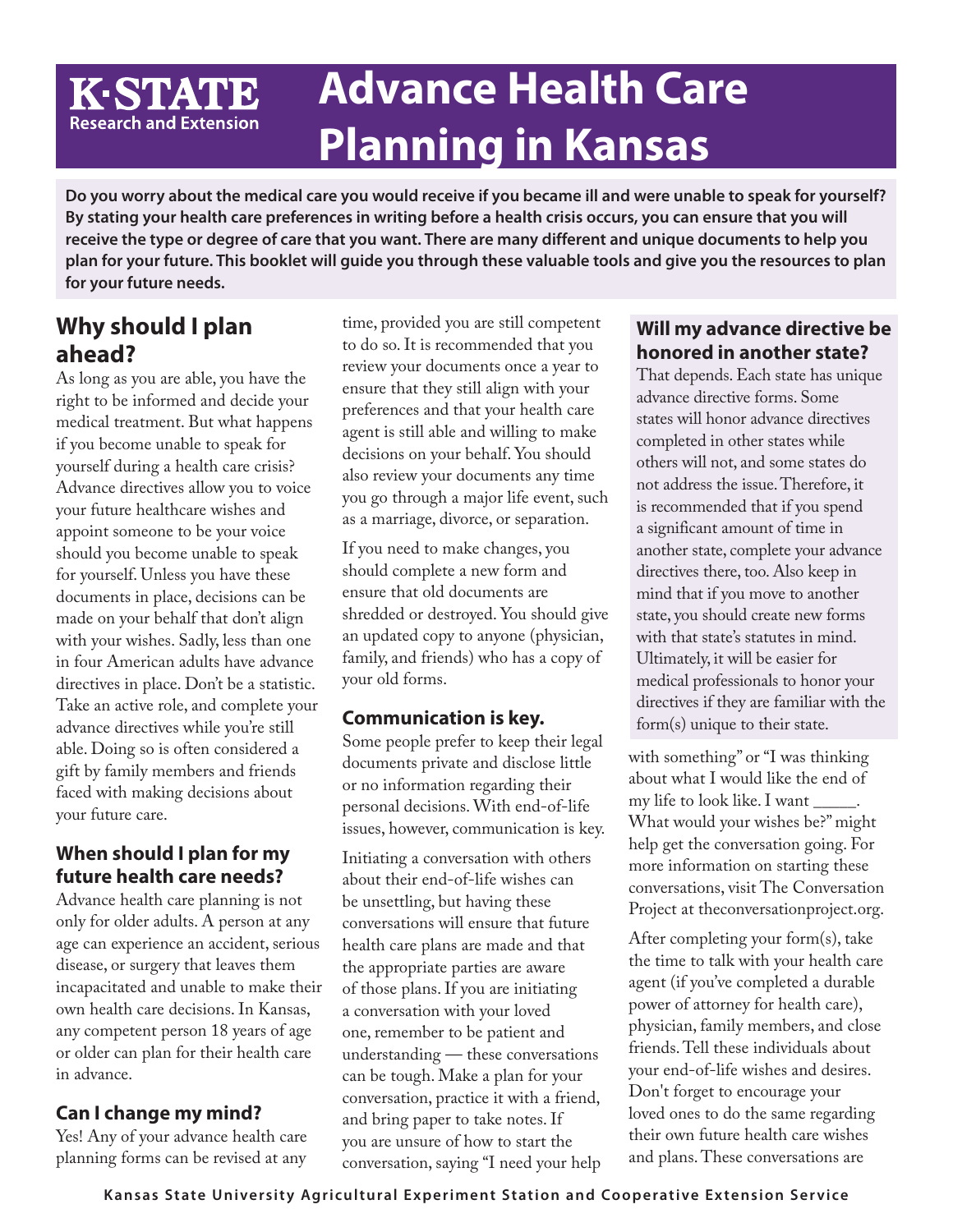### **Advance Health Care K-STATE Research and Extension Planning in Kansas**

**Do you worry about the medical care you would receive if you became ill and were unable to speak for yourself? By stating your health care preferences in writing before a health crisis occurs, you can ensure that you will receive the type or degree of care that you want. There are many different and unique documents to help you plan for your future. This booklet will guide you through these valuable tools and give you the resources to plan for your future needs.**

### **Why should I plan ahead?**

As long as you are able, you have the right to be informed and decide your medical treatment. But what happens if you become unable to speak for yourself during a health care crisis? Advance directives allow you to voice your future healthcare wishes and appoint someone to be your voice should you become unable to speak for yourself. Unless you have these documents in place, decisions can be made on your behalf that don't align with your wishes. Sadly, less than one in four American adults have advance directives in place. Don't be a statistic. Take an active role, and complete your advance directives while you're still able. Doing so is often considered a gift by family members and friends faced with making decisions about your future care.

### **When should I plan for my future health care needs?**

Advance health care planning is not only for older adults. A person at any age can experience an accident, serious disease, or surgery that leaves them incapacitated and unable to make their own health care decisions. In Kansas, any competent person 18 years of age or older can plan for their health care in advance.

### **Can I change my mind?**

Yes! Any of your advance health care planning forms can be revised at any

time, provided you are still competent to do so. It is recommended that you review your documents once a year to ensure that they still align with your preferences and that your health care agent is still able and willing to make decisions on your behalf. You should also review your documents any time you go through a major life event, such as a marriage, divorce, or separation.

If you need to make changes, you should complete a new form and ensure that old documents are shredded or destroyed. You should give an updated copy to anyone (physician, family, and friends) who has a copy of your old forms.

### **Communication is key.**

Some people prefer to keep their legal documents private and disclose little or no information regarding their personal decisions. With end-of-life issues, however, communication is key.

Initiating a conversation with others about their end-of-life wishes can be unsettling, but having these conversations will ensure that future health care plans are made and that the appropriate parties are aware of those plans. If you are initiating a conversation with your loved one, remember to be patient and understanding — these conversations can be tough. Make a plan for your conversation, practice it with a friend, and bring paper to take notes. If you are unsure of how to start the conversation, saying "I need your help

#### **Will my advance directive be honored in another state?**

That depends. Each state has unique advance directive forms. Some states will honor advance directives completed in other states while others will not, and some states do not address the issue. Therefore, it is recommended that if you spend a significant amount of time in another state, complete your advance directives there, too. Also keep in mind that if you move to another state, you should create new forms with that state's statutes in mind. Ultimately, it will be easier for medical professionals to honor your directives if they are familiar with the form(s) unique to their state.

with something" or "I was thinking about what I would like the end of my life to look like. I want \_\_\_\_\_. What would your wishes be?" might help get the conversation going. For more information on starting these conversations, visit The Conversation Project at theconversationproject.org.

After completing your form(s), take the time to talk with your health care agent (if you've completed a durable power of attorney for health care), physician, family members, and close friends. Tell these individuals about your end-of-life wishes and desires. Don't forget to encourage your loved ones to do the same regarding their own future health care wishes and plans. These conversations are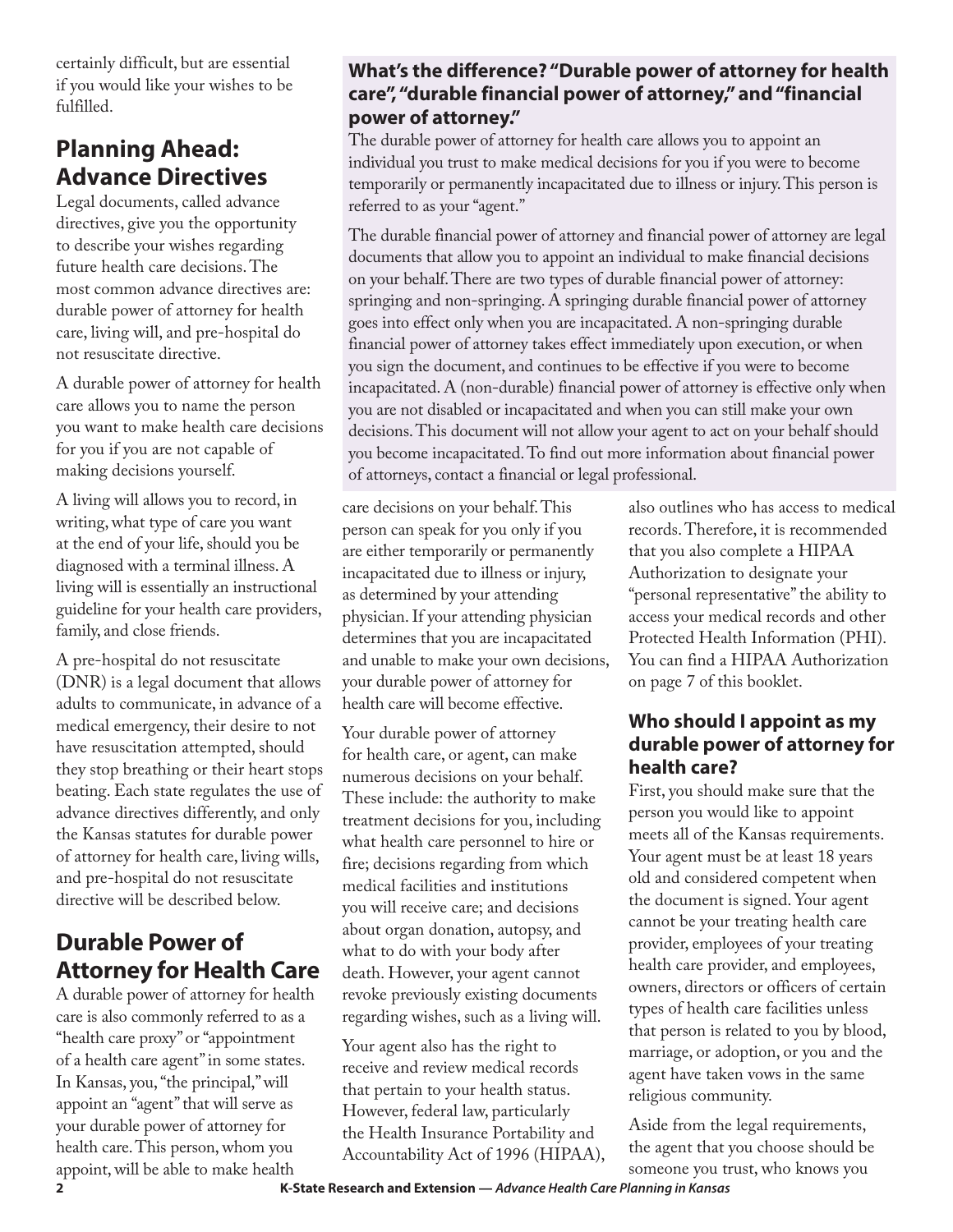certainly difficult, but are essential if you would like your wishes to be fulfilled.

# **Planning Ahead: Advance Directives**

Legal documents, called advance directives, give you the opportunity to describe your wishes regarding future health care decisions. The most common advance directives are: durable power of attorney for health care, living will, and pre-hospital do not resuscitate directive.

A durable power of attorney for health care allows you to name the person you want to make health care decisions for you if you are not capable of making decisions yourself.

A living will allows you to record, in writing, what type of care you want at the end of your life, should you be diagnosed with a terminal illness. A living will is essentially an instructional guideline for your health care providers, family, and close friends.

A pre-hospital do not resuscitate (DNR) is a legal document that allows adults to communicate, in advance of a medical emergency, their desire to not have resuscitation attempted, should they stop breathing or their heart stops beating. Each state regulates the use of advance directives differently, and only the Kansas statutes for durable power of attorney for health care, living wills, and pre-hospital do not resuscitate directive will be described below.

# **Durable Power of Attorney for Health Care**

A durable power of attorney for health care is also commonly referred to as a "health care proxy" or "appointment of a health care agent" in some states. In Kansas, you, "the principal," will appoint an "agent" that will serve as your durable power of attorney for health care. This person, whom you appoint, will be able to make health

#### **What's the difference? "Durable power of attorney for health care", "durable financial power of attorney," and "financial power of attorney."**

The durable power of attorney for health care allows you to appoint an individual you trust to make medical decisions for you if you were to become temporarily or permanently incapacitated due to illness or injury. This person is referred to as your "agent."

The durable financial power of attorney and financial power of attorney are legal documents that allow you to appoint an individual to make financial decisions on your behalf. There are two types of durable financial power of attorney: springing and non-springing. A springing durable financial power of attorney goes into effect only when you are incapacitated. A non-springing durable financial power of attorney takes effect immediately upon execution, or when you sign the document, and continues to be effective if you were to become incapacitated. A (non-durable) financial power of attorney is effective only when you are not disabled or incapacitated and when you can still make your own decisions. This document will not allow your agent to act on your behalf should you become incapacitated. To find out more information about financial power of attorneys, contact a financial or legal professional.

#### care decisions on your behalf. This person can speak for you only if you are either temporarily or permanently incapacitated due to illness or injury, as determined by your attending physician. If your attending physician determines that you are incapacitated and unable to make your own decisions, your durable power of attorney for health care will become effective.

Your durable power of attorney for health care, or agent, can make numerous decisions on your behalf. These include: the authority to make treatment decisions for you, including what health care personnel to hire or fire; decisions regarding from which medical facilities and institutions you will receive care; and decisions about organ donation, autopsy, and what to do with your body after death. However, your agent cannot revoke previously existing documents regarding wishes, such as a living will.

Your agent also has the right to receive and review medical records that pertain to your health status. However, federal law, particularly the Health Insurance Portability and Accountability Act of 1996 (HIPAA), also outlines who has access to medical records. Therefore, it is recommended that you also complete a HIPAA Authorization to designate your "personal representative" the ability to access your medical records and other Protected Health Information (PHI). You can find a HIPAA Authorization on page 7 of this booklet.

### **Who should I appoint as my durable power of attorney for health care?**

First, you should make sure that the person you would like to appoint meets all of the Kansas requirements. Your agent must be at least 18 years old and considered competent when the document is signed. Your agent cannot be your treating health care provider, employees of your treating health care provider, and employees, owners, directors or officers of certain types of health care facilities unless that person is related to you by blood, marriage, or adoption, or you and the agent have taken vows in the same religious community.

Aside from the legal requirements, the agent that you choose should be someone you trust, who knows you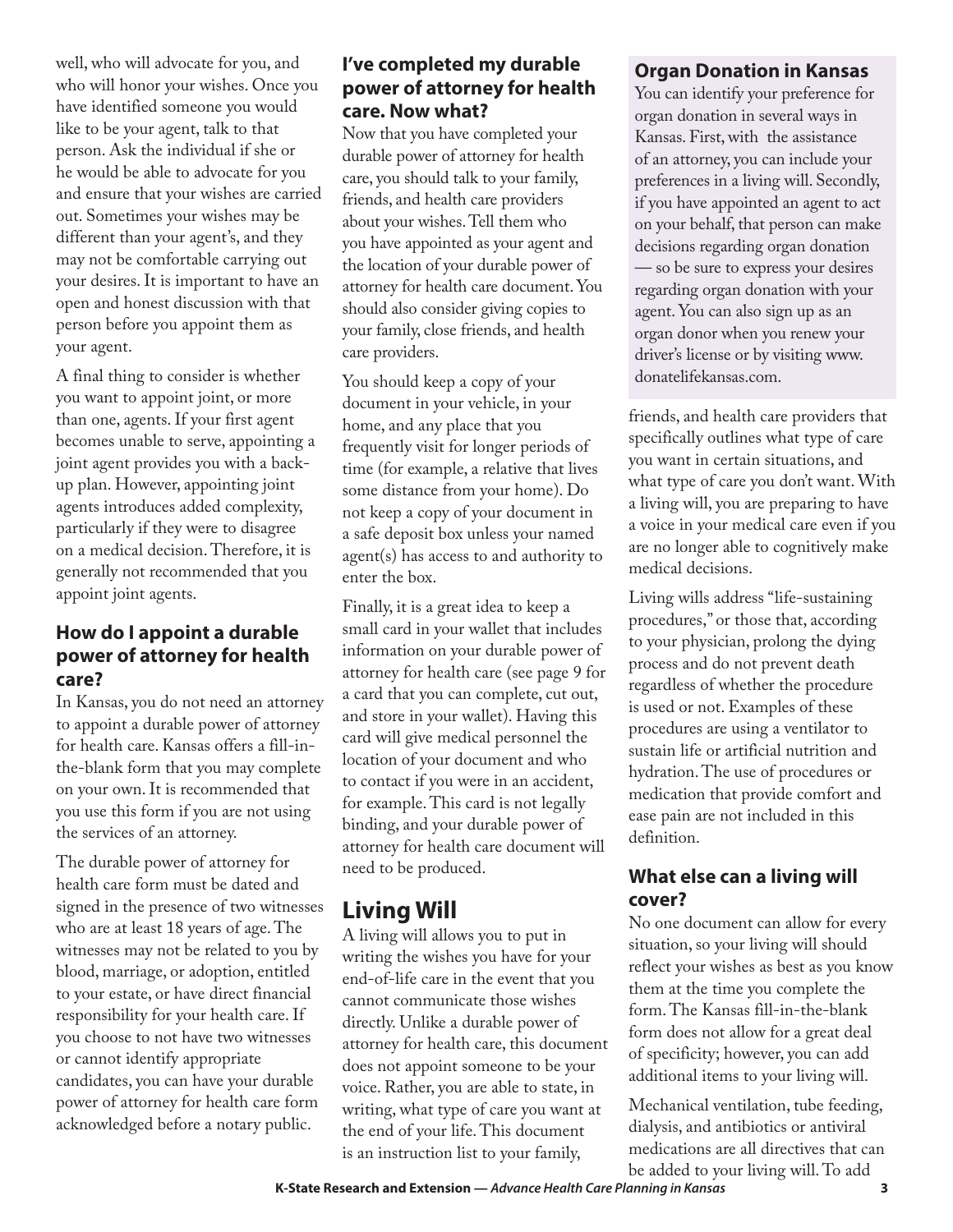well, who will advocate for you, and who will honor your wishes. Once you have identified someone you would like to be your agent, talk to that person. Ask the individual if she or he would be able to advocate for you and ensure that your wishes are carried out. Sometimes your wishes may be different than your agent's, and they may not be comfortable carrying out your desires. It is important to have an open and honest discussion with that person before you appoint them as your agent.

A final thing to consider is whether you want to appoint joint, or more than one, agents. If your first agent becomes unable to serve, appointing a joint agent provides you with a backup plan. However, appointing joint agents introduces added complexity, particularly if they were to disagree on a medical decision. Therefore, it is generally not recommended that you appoint joint agents.

#### **How do I appoint a durable power of attorney for health care?**

In Kansas, you do not need an attorney to appoint a durable power of attorney for health care. Kansas offers a fill-inthe-blank form that you may complete on your own. It is recommended that you use this form if you are not using the services of an attorney.

The durable power of attorney for health care form must be dated and signed in the presence of two witnesses who are at least 18 years of age. The witnesses may not be related to you by blood, marriage, or adoption, entitled to your estate, or have direct financial responsibility for your health care. If you choose to not have two witnesses or cannot identify appropriate candidates, you can have your durable power of attorney for health care form acknowledged before a notary public.

#### **I've completed my durable power of attorney for health care. Now what?**

Now that you have completed your durable power of attorney for health care, you should talk to your family, friends, and health care providers about your wishes. Tell them who you have appointed as your agent and the location of your durable power of attorney for health care document. You should also consider giving copies to your family, close friends, and health care providers.

You should keep a copy of your document in your vehicle, in your home, and any place that you frequently visit for longer periods of time (for example, a relative that lives some distance from your home). Do not keep a copy of your document in a safe deposit box unless your named agent(s) has access to and authority to enter the box.

Finally, it is a great idea to keep a small card in your wallet that includes information on your durable power of attorney for health care (see page 9 for a card that you can complete, cut out, and store in your wallet). Having this card will give medical personnel the location of your document and who to contact if you were in an accident, for example. This card is not legally binding, and your durable power of attorney for health care document will need to be produced.

# **Living Will**

A living will allows you to put in writing the wishes you have for your end-of-life care in the event that you cannot communicate those wishes directly. Unlike a durable power of attorney for health care, this document does not appoint someone to be your voice. Rather, you are able to state, in writing, what type of care you want at the end of your life. This document is an instruction list to your family,

#### **Organ Donation in Kansas**

You can identify your preference for organ donation in several ways in Kansas. First, with the assistance of an attorney, you can include your preferences in a living will. Secondly, if you have appointed an agent to act on your behalf, that person can make decisions regarding organ donation — so be sure to express your desires regarding organ donation with your agent. You can also sign up as an organ donor when you renew your driver's license or by visiting www. donatelifekansas.com.

friends, and health care providers that specifically outlines what type of care you want in certain situations, and what type of care you don't want. With a living will, you are preparing to have a voice in your medical care even if you are no longer able to cognitively make medical decisions.

Living wills address "life-sustaining procedures," or those that, according to your physician, prolong the dying process and do not prevent death regardless of whether the procedure is used or not. Examples of these procedures are using a ventilator to sustain life or artificial nutrition and hydration. The use of procedures or medication that provide comfort and ease pain are not included in this definition.

#### **What else can a living will cover?**

No one document can allow for every situation, so your living will should reflect your wishes as best as you know them at the time you complete the form. The Kansas fill-in-the-blank form does not allow for a great deal of specificity; however, you can add additional items to your living will.

Mechanical ventilation, tube feeding, dialysis, and antibiotics or antiviral medications are all directives that can be added to your living will. To add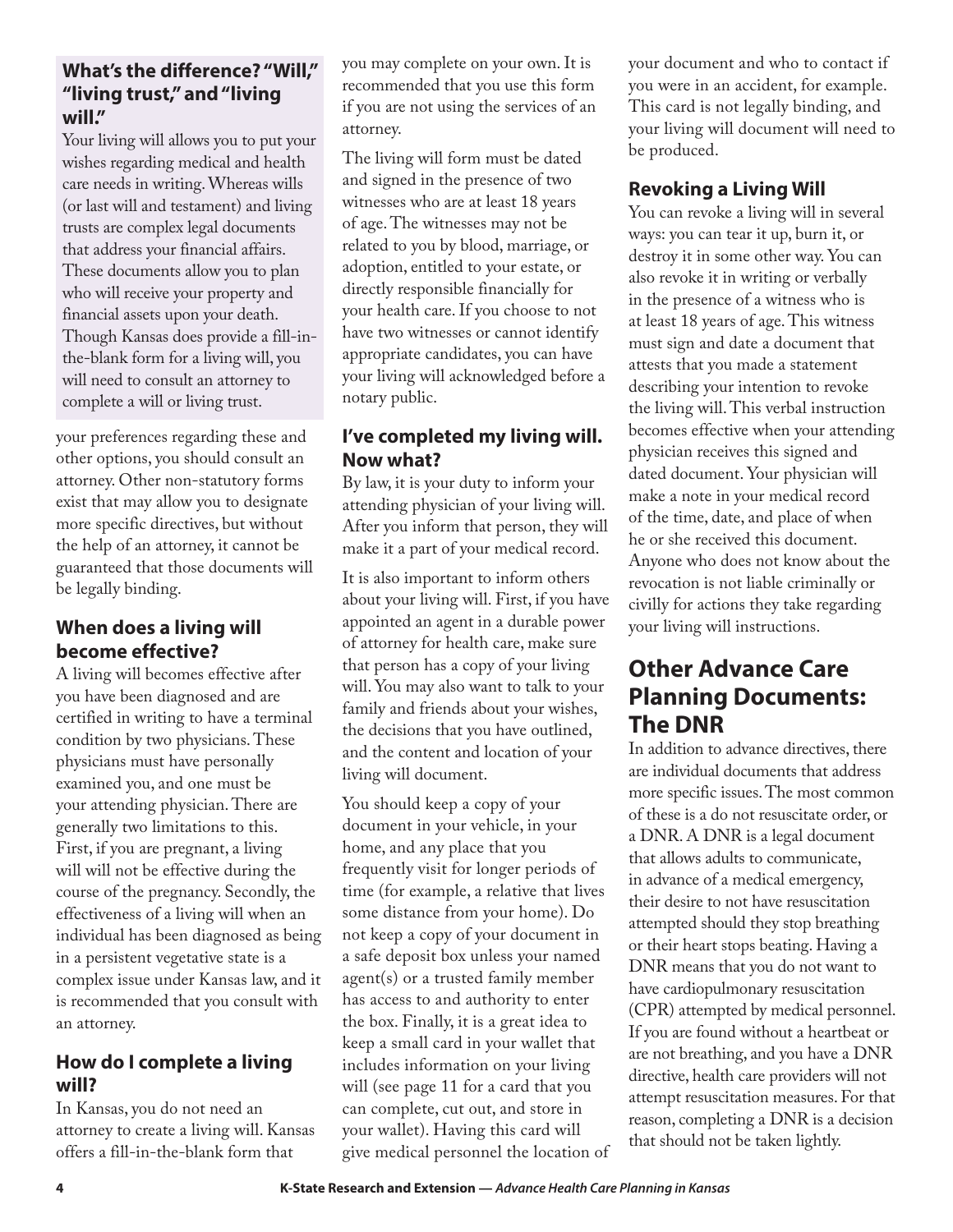#### **What's the difference? "Will," "living trust," and "living will."**

Your living will allows you to put your wishes regarding medical and health care needs in writing. Whereas wills (or last will and testament) and living trusts are complex legal documents that address your financial affairs. These documents allow you to plan who will receive your property and financial assets upon your death. Though Kansas does provide a fill-inthe-blank form for a living will, you will need to consult an attorney to complete a will or living trust.

your preferences regarding these and other options, you should consult an attorney. Other non-statutory forms exist that may allow you to designate more specific directives, but without the help of an attorney, it cannot be guaranteed that those documents will be legally binding.

### **When does a living will become effective?**

A living will becomes effective after you have been diagnosed and are certified in writing to have a terminal condition by two physicians. These physicians must have personally examined you, and one must be your attending physician. There are generally two limitations to this. First, if you are pregnant, a living will will not be effective during the course of the pregnancy. Secondly, the effectiveness of a living will when an individual has been diagnosed as being in a persistent vegetative state is a complex issue under Kansas law, and it is recommended that you consult with an attorney.

#### **How do I complete a living will?**

In Kansas, you do not need an attorney to create a living will. Kansas offers a fill-in-the-blank form that

you may complete on your own. It is recommended that you use this form if you are not using the services of an attorney.

The living will form must be dated and signed in the presence of two witnesses who are at least 18 years of age. The witnesses may not be related to you by blood, marriage, or adoption, entitled to your estate, or directly responsible financially for your health care. If you choose to not have two witnesses or cannot identify appropriate candidates, you can have your living will acknowledged before a notary public.

### **I've completed my living will. Now what?**

By law, it is your duty to inform your attending physician of your living will. After you inform that person, they will make it a part of your medical record.

It is also important to inform others about your living will. First, if you have appointed an agent in a durable power of attorney for health care, make sure that person has a copy of your living will. You may also want to talk to your family and friends about your wishes, the decisions that you have outlined, and the content and location of your living will document.

You should keep a copy of your document in your vehicle, in your home, and any place that you frequently visit for longer periods of time (for example, a relative that lives some distance from your home). Do not keep a copy of your document in a safe deposit box unless your named agent(s) or a trusted family member has access to and authority to enter the box. Finally, it is a great idea to keep a small card in your wallet that includes information on your living will (see page 11 for a card that you can complete, cut out, and store in your wallet). Having this card will give medical personnel the location of your document and who to contact if you were in an accident, for example. This card is not legally binding, and your living will document will need to be produced.

### **Revoking a Living Will**

You can revoke a living will in several ways: you can tear it up, burn it, or destroy it in some other way. You can also revoke it in writing or verbally in the presence of a witness who is at least 18 years of age. This witness must sign and date a document that attests that you made a statement describing your intention to revoke the living will. This verbal instruction becomes effective when your attending physician receives this signed and dated document. Your physician will make a note in your medical record of the time, date, and place of when he or she received this document. Anyone who does not know about the revocation is not liable criminally or civilly for actions they take regarding your living will instructions.

## **Other Advance Care Planning Documents: The DNR**

In addition to advance directives, there are individual documents that address more specific issues. The most common of these is a do not resuscitate order, or a DNR. A DNR is a legal document that allows adults to communicate, in advance of a medical emergency, their desire to not have resuscitation attempted should they stop breathing or their heart stops beating. Having a DNR means that you do not want to have cardiopulmonary resuscitation (CPR) attempted by medical personnel. If you are found without a heartbeat or are not breathing, and you have a DNR directive, health care providers will not attempt resuscitation measures. For that reason, completing a DNR is a decision that should not be taken lightly.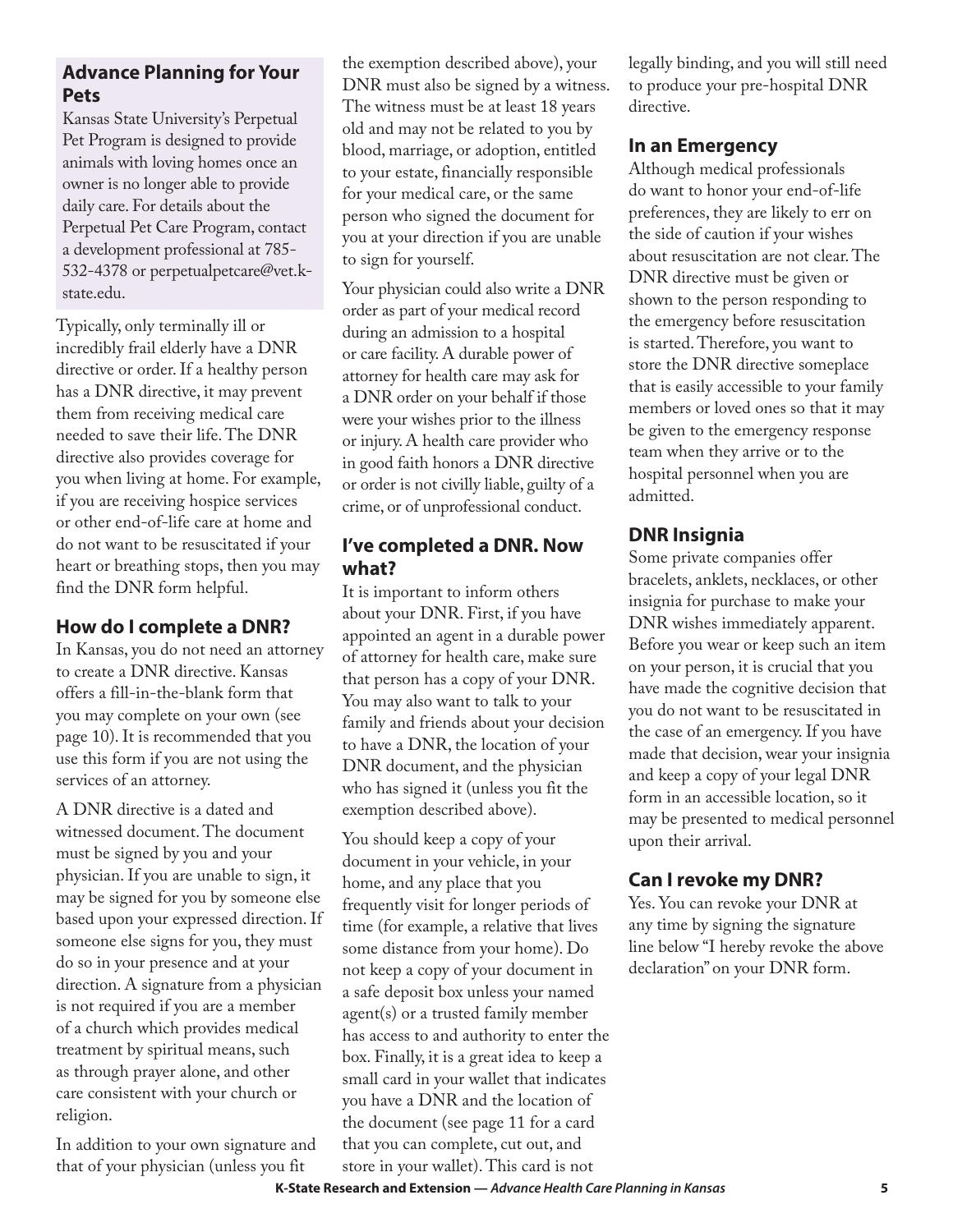#### **Advance Planning for Your Pets**

Kansas State University's Perpetual Pet Program is designed to provide animals with loving homes once an owner is no longer able to provide daily care. For details about the Perpetual Pet Care Program, contact a development professional at 785- 532-4378 or perpetualpetcare@vet.kstate.edu.

Typically, only terminally ill or incredibly frail elderly have a DNR directive or order. If a healthy person has a DNR directive, it may prevent them from receiving medical care needed to save their life. The DNR directive also provides coverage for you when living at home. For example, if you are receiving hospice services or other end-of-life care at home and do not want to be resuscitated if your heart or breathing stops, then you may find the DNR form helpful.

### **How do I complete a DNR?**

In Kansas, you do not need an attorney to create a DNR directive. Kansas offers a fill-in-the-blank form that you may complete on your own (see page 10). It is recommended that you use this form if you are not using the services of an attorney.

A DNR directive is a dated and witnessed document. The document must be signed by you and your physician. If you are unable to sign, it may be signed for you by someone else based upon your expressed direction. If someone else signs for you, they must do so in your presence and at your direction. A signature from a physician is not required if you are a member of a church which provides medical treatment by spiritual means, such as through prayer alone, and other care consistent with your church or religion.

In addition to your own signature and that of your physician (unless you fit

the exemption described above), your DNR must also be signed by a witness. The witness must be at least 18 years old and may not be related to you by blood, marriage, or adoption, entitled to your estate, financially responsible for your medical care, or the same person who signed the document for you at your direction if you are unable to sign for yourself.

Your physician could also write a DNR order as part of your medical record during an admission to a hospital or care facility. A durable power of attorney for health care may ask for a DNR order on your behalf if those were your wishes prior to the illness or injury. A health care provider who in good faith honors a DNR directive or order is not civilly liable, guilty of a crime, or of unprofessional conduct.

#### **I've completed a DNR. Now what?**

It is important to inform others about your DNR. First, if you have appointed an agent in a durable power of attorney for health care, make sure that person has a copy of your DNR. You may also want to talk to your family and friends about your decision to have a DNR, the location of your DNR document, and the physician who has signed it (unless you fit the exemption described above).

You should keep a copy of your document in your vehicle, in your home, and any place that you frequently visit for longer periods of time (for example, a relative that lives some distance from your home). Do not keep a copy of your document in a safe deposit box unless your named agent(s) or a trusted family member has access to and authority to enter the box. Finally, it is a great idea to keep a small card in your wallet that indicates you have a DNR and the location of the document (see page 11 for a card that you can complete, cut out, and store in your wallet). This card is not

legally binding, and you will still need to produce your pre-hospital DNR directive.

### **In an Emergency**

Although medical professionals do want to honor your end-of-life preferences, they are likely to err on the side of caution if your wishes about resuscitation are not clear. The DNR directive must be given or shown to the person responding to the emergency before resuscitation is started. Therefore, you want to store the DNR directive someplace that is easily accessible to your family members or loved ones so that it may be given to the emergency response team when they arrive or to the hospital personnel when you are admitted.

### **DNR Insignia**

Some private companies offer bracelets, anklets, necklaces, or other insignia for purchase to make your DNR wishes immediately apparent. Before you wear or keep such an item on your person, it is crucial that you have made the cognitive decision that you do not want to be resuscitated in the case of an emergency. If you have made that decision, wear your insignia and keep a copy of your legal DNR form in an accessible location, so it may be presented to medical personnel upon their arrival.

### **Can I revoke my DNR?**

Yes. You can revoke your DNR at any time by signing the signature line below "I hereby revoke the above declaration" on your DNR form.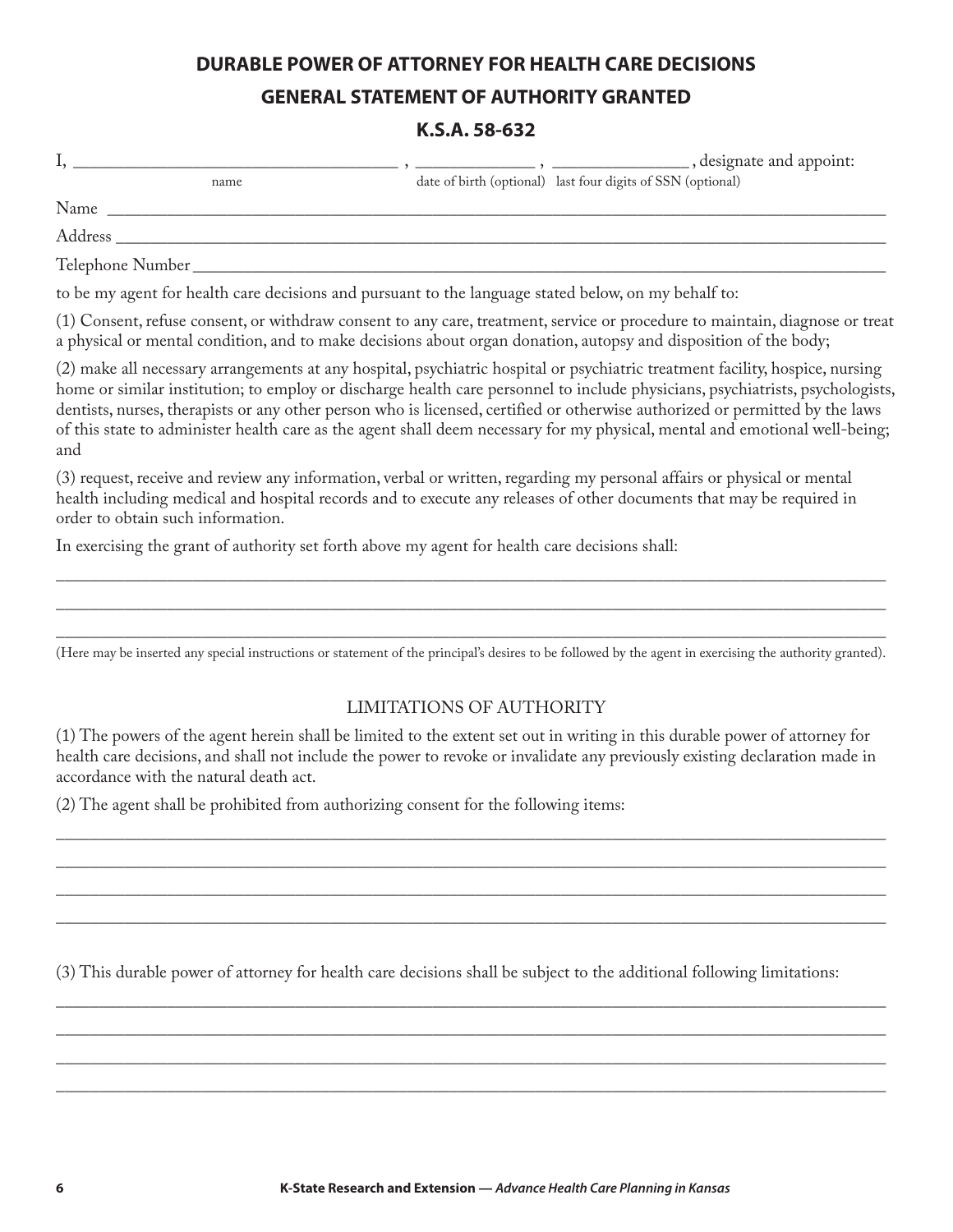### **DURABLE POWER OF ATTORNEY FOR HEALTH CARE DECISIONS GENERAL STATEMENT OF AUTHORITY GRANTED**

#### **K.S.A. 58-632**

|         | , designate and appoint:                                    |
|---------|-------------------------------------------------------------|
| name    | date of birth (optional) last four digits of SSN (optional) |
| Name    |                                                             |
| Address |                                                             |

Telephone Number

to be my agent for health care decisions and pursuant to the language stated below, on my behalf to:

(1) Consent, refuse consent, or withdraw consent to any care, treatment, service or procedure to maintain, diagnose or treat a physical or mental condition, and to make decisions about organ donation, autopsy and disposition of the body;

(2) make all necessary arrangements at any hospital, psychiatric hospital or psychiatric treatment facility, hospice, nursing home or similar institution; to employ or discharge health care personnel to include physicians, psychiatrists, psychologists, dentists, nurses, therapists or any other person who is licensed, certified or otherwise authorized or permitted by the laws of this state to administer health care as the agent shall deem necessary for my physical, mental and emotional well-being; and

(3) request, receive and review any information, verbal or written, regarding my personal affairs or physical or mental health including medical and hospital records and to execute any releases of other documents that may be required in order to obtain such information.

In exercising the grant of authority set forth above my agent for health care decisions shall:

\_\_\_\_\_\_\_\_\_\_\_\_\_\_\_\_\_\_\_\_\_\_\_\_\_\_\_\_\_\_\_\_\_\_\_\_\_\_\_\_\_\_\_\_\_\_\_\_\_\_\_\_\_\_\_\_\_\_\_\_\_\_\_\_\_\_\_\_\_\_\_\_\_\_\_\_\_\_\_\_\_\_\_\_\_\_\_\_\_\_\_\_\_\_\_\_\_ (Here may be inserted any special instructions or statement of the principal's desires to be followed by the agent in exercising the authority granted).

\_\_\_\_\_\_\_\_\_\_\_\_\_\_\_\_\_\_\_\_\_\_\_\_\_\_\_\_\_\_\_\_\_\_\_\_\_\_\_\_\_\_\_\_\_\_\_\_\_\_\_\_\_\_\_\_\_\_\_\_\_\_\_\_\_\_\_\_\_\_\_\_\_\_\_\_\_\_\_\_\_\_\_\_\_\_\_\_\_\_\_\_\_\_\_\_\_ \_\_\_\_\_\_\_\_\_\_\_\_\_\_\_\_\_\_\_\_\_\_\_\_\_\_\_\_\_\_\_\_\_\_\_\_\_\_\_\_\_\_\_\_\_\_\_\_\_\_\_\_\_\_\_\_\_\_\_\_\_\_\_\_\_\_\_\_\_\_\_\_\_\_\_\_\_\_\_\_\_\_\_\_\_\_\_\_\_\_\_\_\_\_\_\_\_

#### LIMITATIONS OF AUTHORITY

(1) The powers of the agent herein shall be limited to the extent set out in writing in this durable power of attorney for health care decisions, and shall not include the power to revoke or invalidate any previously existing declaration made in accordance with the natural death act.

 $\overline{\phantom{a}}$  ,  $\overline{\phantom{a}}$  ,  $\overline{\phantom{a}}$  ,  $\overline{\phantom{a}}$  ,  $\overline{\phantom{a}}$  ,  $\overline{\phantom{a}}$  ,  $\overline{\phantom{a}}$  ,  $\overline{\phantom{a}}$  ,  $\overline{\phantom{a}}$  ,  $\overline{\phantom{a}}$  ,  $\overline{\phantom{a}}$  ,  $\overline{\phantom{a}}$  ,  $\overline{\phantom{a}}$  ,  $\overline{\phantom{a}}$  ,  $\overline{\phantom{a}}$  ,  $\overline{\phantom{a}}$  $\overline{\phantom{a}}$  ,  $\overline{\phantom{a}}$  ,  $\overline{\phantom{a}}$  ,  $\overline{\phantom{a}}$  ,  $\overline{\phantom{a}}$  ,  $\overline{\phantom{a}}$  ,  $\overline{\phantom{a}}$  ,  $\overline{\phantom{a}}$  ,  $\overline{\phantom{a}}$  ,  $\overline{\phantom{a}}$  ,  $\overline{\phantom{a}}$  ,  $\overline{\phantom{a}}$  ,  $\overline{\phantom{a}}$  ,  $\overline{\phantom{a}}$  ,  $\overline{\phantom{a}}$  ,  $\overline{\phantom{a}}$  $\overline{\phantom{a}}$  ,  $\overline{\phantom{a}}$  ,  $\overline{\phantom{a}}$  ,  $\overline{\phantom{a}}$  ,  $\overline{\phantom{a}}$  ,  $\overline{\phantom{a}}$  ,  $\overline{\phantom{a}}$  ,  $\overline{\phantom{a}}$  ,  $\overline{\phantom{a}}$  ,  $\overline{\phantom{a}}$  ,  $\overline{\phantom{a}}$  ,  $\overline{\phantom{a}}$  ,  $\overline{\phantom{a}}$  ,  $\overline{\phantom{a}}$  ,  $\overline{\phantom{a}}$  ,  $\overline{\phantom{a}}$  $\overline{\phantom{a}}$  ,  $\overline{\phantom{a}}$  ,  $\overline{\phantom{a}}$  ,  $\overline{\phantom{a}}$  ,  $\overline{\phantom{a}}$  ,  $\overline{\phantom{a}}$  ,  $\overline{\phantom{a}}$  ,  $\overline{\phantom{a}}$  ,  $\overline{\phantom{a}}$  ,  $\overline{\phantom{a}}$  ,  $\overline{\phantom{a}}$  ,  $\overline{\phantom{a}}$  ,  $\overline{\phantom{a}}$  ,  $\overline{\phantom{a}}$  ,  $\overline{\phantom{a}}$  ,  $\overline{\phantom{a}}$ 

(2) The agent shall be prohibited from authorizing consent for the following items:

(3) This durable power of attorney for health care decisions shall be subject to the additional following limitations:

 $\overline{\phantom{a}}$  ,  $\overline{\phantom{a}}$  ,  $\overline{\phantom{a}}$  ,  $\overline{\phantom{a}}$  ,  $\overline{\phantom{a}}$  ,  $\overline{\phantom{a}}$  ,  $\overline{\phantom{a}}$  ,  $\overline{\phantom{a}}$  ,  $\overline{\phantom{a}}$  ,  $\overline{\phantom{a}}$  ,  $\overline{\phantom{a}}$  ,  $\overline{\phantom{a}}$  ,  $\overline{\phantom{a}}$  ,  $\overline{\phantom{a}}$  ,  $\overline{\phantom{a}}$  ,  $\overline{\phantom{a}}$  $\overline{\phantom{a}}$  ,  $\overline{\phantom{a}}$  ,  $\overline{\phantom{a}}$  ,  $\overline{\phantom{a}}$  ,  $\overline{\phantom{a}}$  ,  $\overline{\phantom{a}}$  ,  $\overline{\phantom{a}}$  ,  $\overline{\phantom{a}}$  ,  $\overline{\phantom{a}}$  ,  $\overline{\phantom{a}}$  ,  $\overline{\phantom{a}}$  ,  $\overline{\phantom{a}}$  ,  $\overline{\phantom{a}}$  ,  $\overline{\phantom{a}}$  ,  $\overline{\phantom{a}}$  ,  $\overline{\phantom{a}}$  $\overline{\phantom{a}}$  ,  $\overline{\phantom{a}}$  ,  $\overline{\phantom{a}}$  ,  $\overline{\phantom{a}}$  ,  $\overline{\phantom{a}}$  ,  $\overline{\phantom{a}}$  ,  $\overline{\phantom{a}}$  ,  $\overline{\phantom{a}}$  ,  $\overline{\phantom{a}}$  ,  $\overline{\phantom{a}}$  ,  $\overline{\phantom{a}}$  ,  $\overline{\phantom{a}}$  ,  $\overline{\phantom{a}}$  ,  $\overline{\phantom{a}}$  ,  $\overline{\phantom{a}}$  ,  $\overline{\phantom{a}}$  $\overline{\phantom{a}}$  ,  $\overline{\phantom{a}}$  ,  $\overline{\phantom{a}}$  ,  $\overline{\phantom{a}}$  ,  $\overline{\phantom{a}}$  ,  $\overline{\phantom{a}}$  ,  $\overline{\phantom{a}}$  ,  $\overline{\phantom{a}}$  ,  $\overline{\phantom{a}}$  ,  $\overline{\phantom{a}}$  ,  $\overline{\phantom{a}}$  ,  $\overline{\phantom{a}}$  ,  $\overline{\phantom{a}}$  ,  $\overline{\phantom{a}}$  ,  $\overline{\phantom{a}}$  ,  $\overline{\phantom{a}}$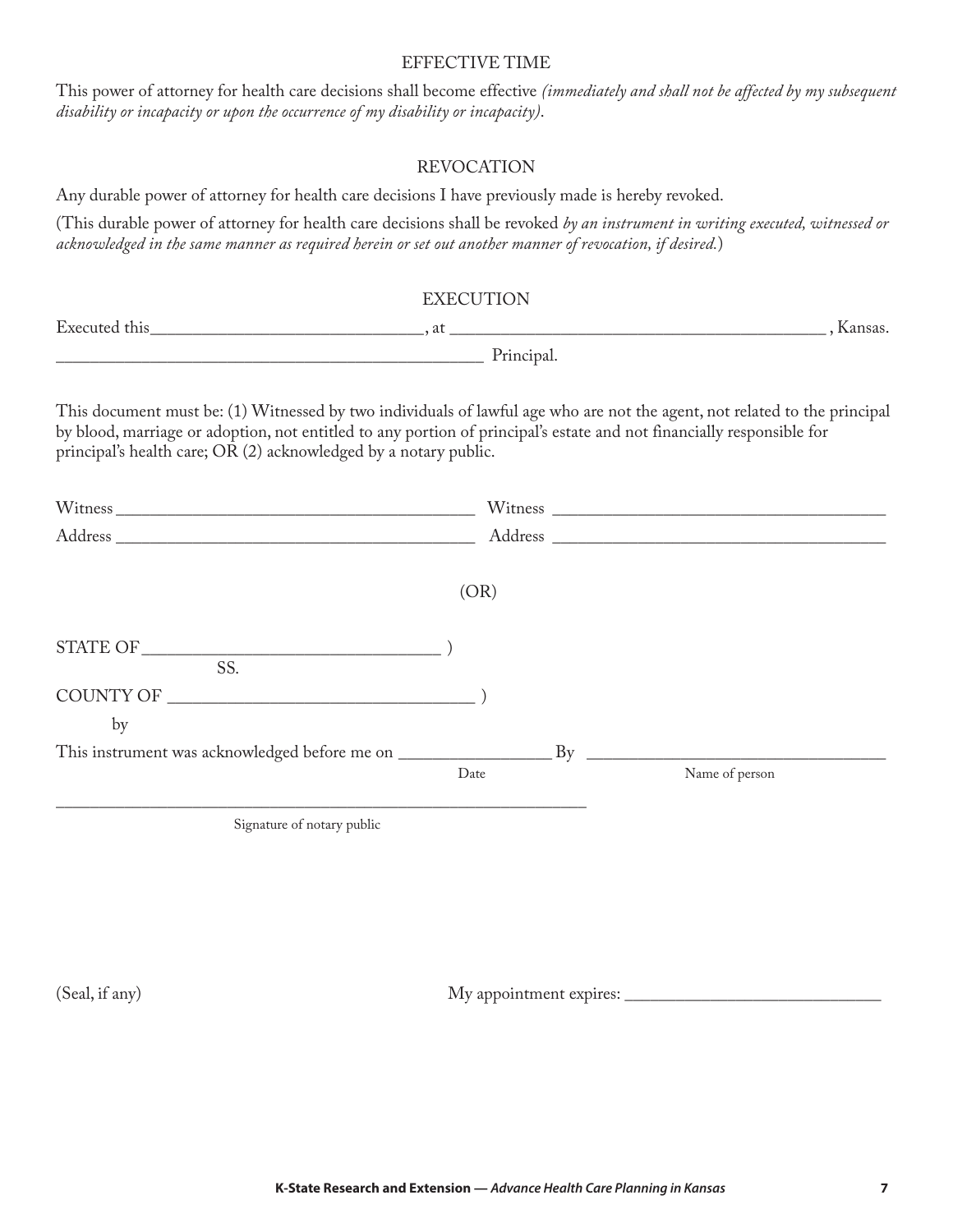#### EFFECTIVE TIME

This power of attorney for health care decisions shall become effective *(immediately and shall not be affected by my subsequent disability or incapacity or upon the occurrence of my disability or incapacity)*.

#### REVOCATION

Any durable power of attorney for health care decisions I have previously made is hereby revoked.

(This durable power of attorney for health care decisions shall be revoked *by an instrument in writing executed, witnessed or acknowledged in the same manner as required herein or set out another manner of revocation, if desired.*)

| <b>EXECUTION</b>                                                                                                                                                                                                               |                                                                                                                                                                                                                                                    |  |
|--------------------------------------------------------------------------------------------------------------------------------------------------------------------------------------------------------------------------------|----------------------------------------------------------------------------------------------------------------------------------------------------------------------------------------------------------------------------------------------------|--|
| Executed this experience of the second service of the service of the service of the service of the service of the service of the service of the service of the service of the service of the service of the service of the ser |                                                                                                                                                                                                                                                    |  |
|                                                                                                                                                                                                                                | Principal.                                                                                                                                                                                                                                         |  |
| principal's health care; OR (2) acknowledged by a notary public.                                                                                                                                                               | This document must be: (1) Witnessed by two individuals of lawful age who are not the agent, not related to the principal<br>by blood, marriage or adoption, not entitled to any portion of principal's estate and not financially responsible for |  |
|                                                                                                                                                                                                                                |                                                                                                                                                                                                                                                    |  |
| Address and the state of the state of the state of the state of the state of the state of the state of the state of the state of the state of the state of the state of the state of the state of the state of the state of th |                                                                                                                                                                                                                                                    |  |

| ×<br>۰.<br>- -<br>٠<br>Ξ<br>× |
|-------------------------------|
|-------------------------------|

| STATE OF                                      |      |    |                |
|-----------------------------------------------|------|----|----------------|
| SS.                                           |      |    |                |
| COUNTY OF                                     |      |    |                |
| by                                            |      |    |                |
| This instrument was acknowledged before me on |      | Rv |                |
|                                               | Date |    | Name of person |

Signature of notary public

\_\_\_\_\_\_\_\_\_\_\_\_\_\_\_\_\_\_\_\_\_\_\_\_\_\_\_\_\_\_\_\_\_\_\_\_\_\_\_\_\_\_\_\_\_\_\_\_\_\_\_\_\_\_\_\_\_\_\_\_\_\_

(Seal, if any) My appointment expires: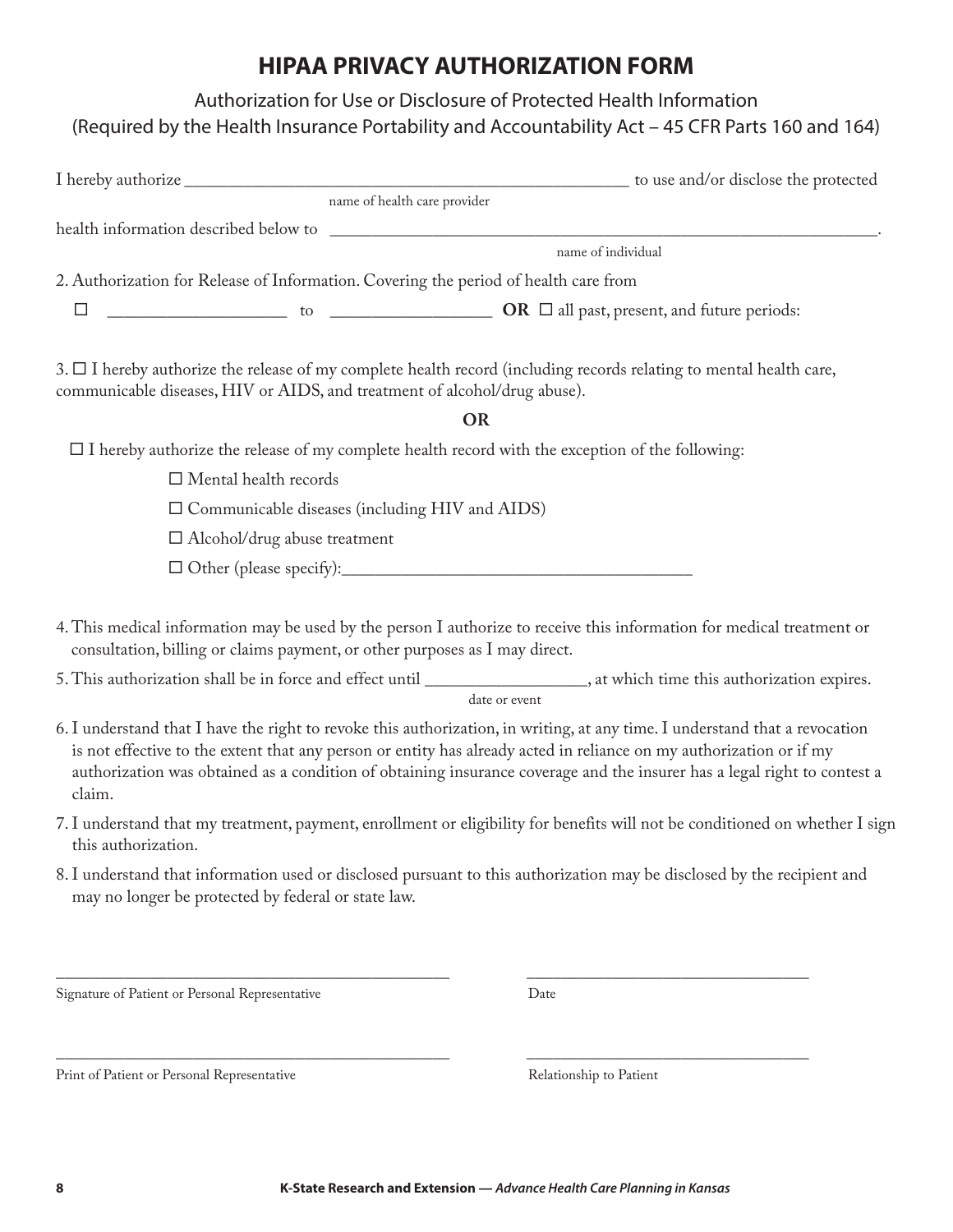# **HIPAA PRIVACY AUTHORIZATION FORM**

| Authorization for Use or Disclosure of Protected Health Information                                                                                                                                                                                                                                                                                                                      |  |
|------------------------------------------------------------------------------------------------------------------------------------------------------------------------------------------------------------------------------------------------------------------------------------------------------------------------------------------------------------------------------------------|--|
| (Required by the Health Insurance Portability and Accountability Act - 45 CFR Parts 160 and 164)                                                                                                                                                                                                                                                                                         |  |
|                                                                                                                                                                                                                                                                                                                                                                                          |  |
| name of health care provider                                                                                                                                                                                                                                                                                                                                                             |  |
|                                                                                                                                                                                                                                                                                                                                                                                          |  |
| name of individual                                                                                                                                                                                                                                                                                                                                                                       |  |
| 2. Authorization for Release of Information. Covering the period of health care from                                                                                                                                                                                                                                                                                                     |  |
| $\overline{\phantom{a}}$ to $\overline{\phantom{a}}$ <b>OR</b> $\Box$ all past, present, and future periods:<br>$\Box$                                                                                                                                                                                                                                                                   |  |
| $3. \Box$ I hereby authorize the release of my complete health record (including records relating to mental health care,<br>communicable diseases, HIV or AIDS, and treatment of alcohol/drug abuse).                                                                                                                                                                                    |  |
| <b>OR</b>                                                                                                                                                                                                                                                                                                                                                                                |  |
| $\Box$ I hereby authorize the release of my complete health record with the exception of the following:                                                                                                                                                                                                                                                                                  |  |
| $\Box$ Mental health records                                                                                                                                                                                                                                                                                                                                                             |  |
| $\square$ Communicable diseases (including HIV and AIDS)                                                                                                                                                                                                                                                                                                                                 |  |
| $\Box$ Alcohol/drug abuse treatment                                                                                                                                                                                                                                                                                                                                                      |  |
|                                                                                                                                                                                                                                                                                                                                                                                          |  |
| 4. This medical information may be used by the person I authorize to receive this information for medical treatment or<br>consultation, billing or claims payment, or other purposes as I may direct.                                                                                                                                                                                    |  |
| 5. This authorization shall be in force and effect until ___________________, at which time this authorization expires.<br>date or event                                                                                                                                                                                                                                                 |  |
| 6. I understand that I have the right to revoke this authorization, in writing, at any time. I understand that a revocation<br>is not effective to the extent that any person or entity has already acted in reliance on my authorization or if my<br>authorization was obtained as a condition of obtaining insurance coverage and the insurer has a legal right to contest a<br>claim. |  |
| 7. I understand that my treatment, payment, enrollment or eligibility for benefits will not be conditioned on whether I sign<br>this authorization.                                                                                                                                                                                                                                      |  |
| 8. I understand that information used or disclosed pursuant to this authorization may be disclosed by the recipient and<br>may no longer be protected by federal or state law.                                                                                                                                                                                                           |  |
|                                                                                                                                                                                                                                                                                                                                                                                          |  |

Signature of Patient or Personal Representative Date

Print of Patient or Personal Representative Relationship to Patient

\_\_\_\_\_\_\_\_\_\_\_\_\_\_\_\_\_\_\_\_\_\_\_\_\_\_\_\_\_\_\_\_\_\_\_\_\_\_\_\_\_\_\_\_\_\_ \_\_\_\_\_\_\_\_\_\_\_\_\_\_\_\_\_\_\_\_\_\_\_\_\_\_\_\_\_\_\_\_\_

\_\_\_\_\_\_\_\_\_\_\_\_\_\_\_\_\_\_\_\_\_\_\_\_\_\_\_\_\_\_\_\_\_\_\_\_\_\_\_\_\_\_\_\_\_\_ \_\_\_\_\_\_\_\_\_\_\_\_\_\_\_\_\_\_\_\_\_\_\_\_\_\_\_\_\_\_\_\_\_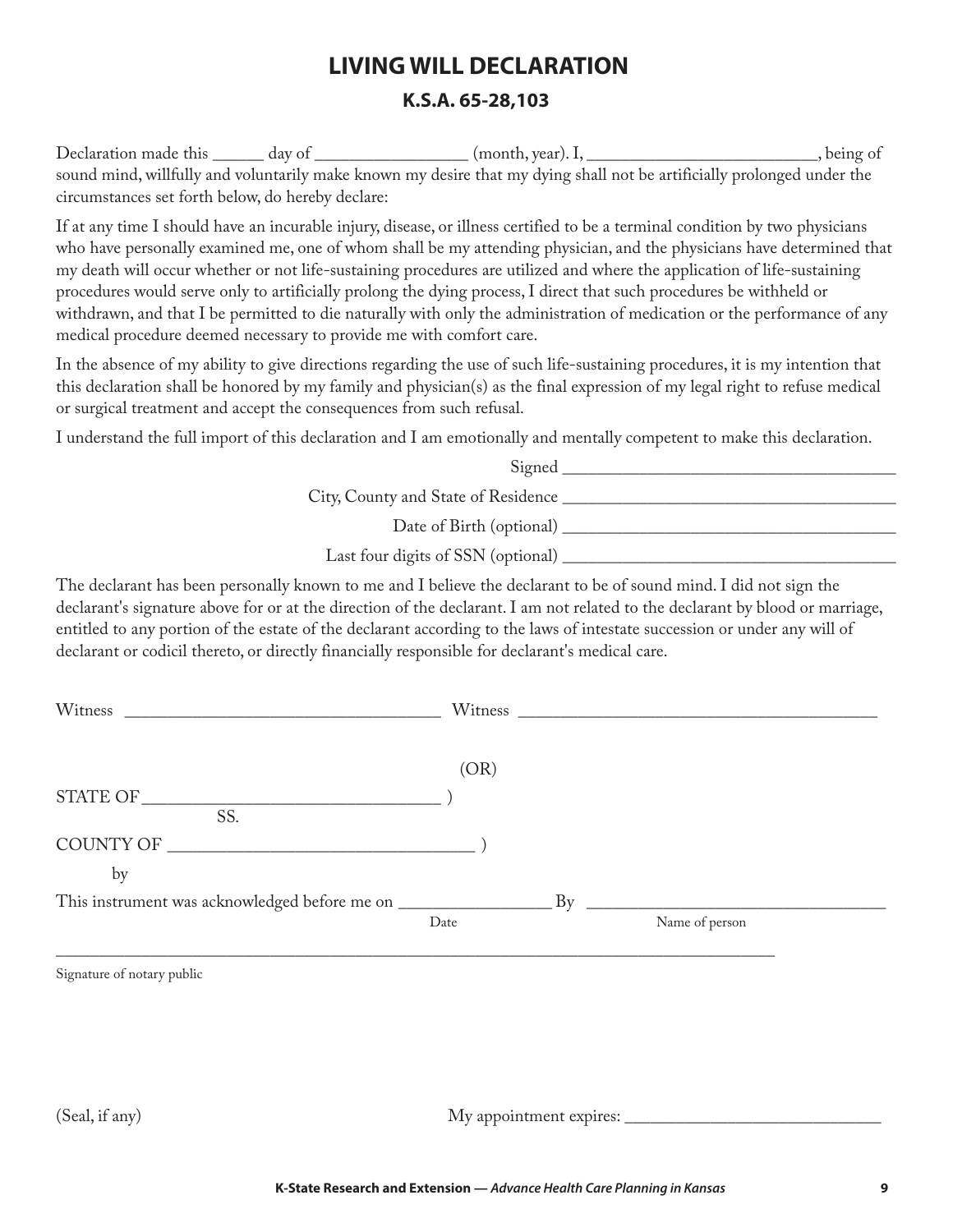# **LIVING WILL DECLARATION K.S.A. 65-28,103**

Declaration made this \_\_\_\_\_\_ day of \_\_\_\_\_\_\_\_\_\_\_\_\_\_\_ (month, year). I, \_\_\_\_\_\_\_\_\_\_\_\_\_\_\_\_\_\_\_\_\_\_\_\_, being of sound mind, willfully and voluntarily make known my desire that my dying shall not be artificially prolonged under the circumstances set forth below, do hereby declare:

If at any time I should have an incurable injury, disease, or illness certified to be a terminal condition by two physicians who have personally examined me, one of whom shall be my attending physician, and the physicians have determined that my death will occur whether or not life-sustaining procedures are utilized and where the application of life-sustaining procedures would serve only to artificially prolong the dying process, I direct that such procedures be withheld or withdrawn, and that I be permitted to die naturally with only the administration of medication or the performance of any medical procedure deemed necessary to provide me with comfort care.

In the absence of my ability to give directions regarding the use of such life-sustaining procedures, it is my intention that this declaration shall be honored by my family and physician(s) as the final expression of my legal right to refuse medical or surgical treatment and accept the consequences from such refusal.

I understand the full import of this declaration and I am emotionally and mentally competent to make this declaration.

| Signed                              |
|-------------------------------------|
| City, County and State of Residence |
| Date of Birth (optional)            |
| Last four digits of SSN (optional)  |

The declarant has been personally known to me and I believe the declarant to be of sound mind. I did not sign the declarant's signature above for or at the direction of the declarant. I am not related to the declarant by blood or marriage, entitled to any portion of the estate of the declarant according to the laws of intestate succession or under any will of declarant or codicil thereto, or directly financially responsible for declarant's medical care.

| Witness<br><u> 1980 - Johann Stein, mars et al. (</u> |      |                                                         |  |
|-------------------------------------------------------|------|---------------------------------------------------------|--|
|                                                       | (OR) |                                                         |  |
| SS.                                                   |      |                                                         |  |
| by                                                    |      |                                                         |  |
|                                                       | Date | <u> 1980 - Jan Barbara III, martx</u><br>Name of person |  |

Signature of notary public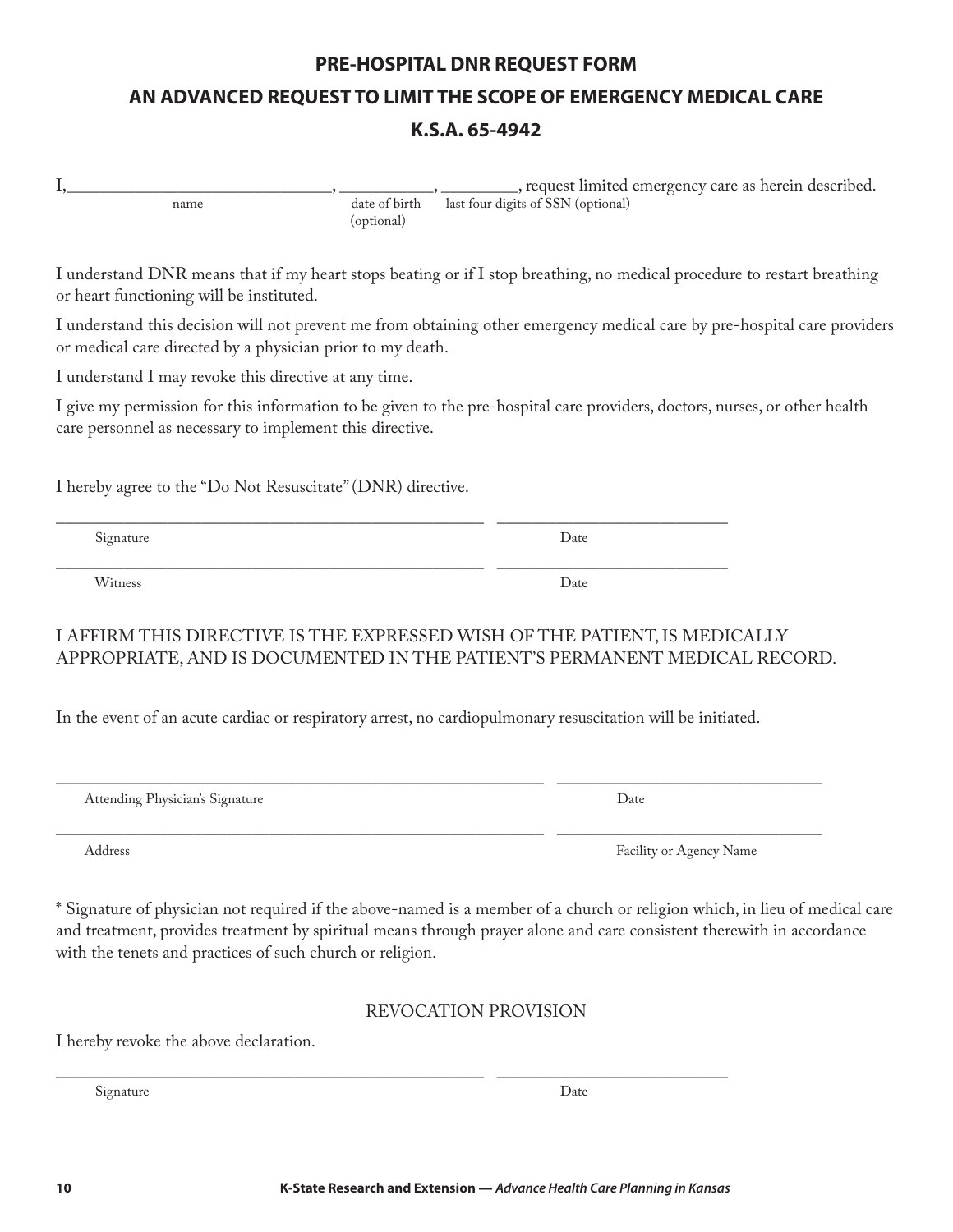# **10 K-State Research and Extension —** *Advance Health Care Planning in Kansas*

# **PRE-HOSPITAL DNR REQUEST FORM AN ADVANCED REQUEST TO LIMIT THE SCOPE OF EMERGENCY MEDICAL CARE**

#### **K.S.A. 65-4942**

I,\_\_\_\_\_\_\_\_\_\_\_\_\_\_\_\_\_\_\_\_\_\_\_\_\_\_\_\_\_\_\_, \_\_\_\_\_\_\_\_\_\_\_, \_\_\_\_\_\_\_\_\_, request limited emergency care as herein described. name date of birth last four digits of SSN (optional) (optional)

I understand DNR means that if my heart stops beating or if I stop breathing, no medical procedure to restart breathing or heart functioning will be instituted.

I understand this decision will not prevent me from obtaining other emergency medical care by pre-hospital care providers or medical care directed by a physician prior to my death.

I understand I may revoke this directive at any time.

I give my permission for this information to be given to the pre-hospital care providers, doctors, nurses, or other health care personnel as necessary to implement this directive.

I hereby agree to the "Do Not Resuscitate" (DNR) directive.

Signature Date Date of the Date of the United States of the United States of the United States of the United States of the United States of the United States of the United States of the United States of the United States o

Witness Date Number of the United States of the United States of the United States of the United States of the United States of the United States of the United States of the United States of the United States of the United

#### I AFFIRM THIS DIRECTIVE IS THE EXPRESSED WISH OF THE PATIENT, IS MEDICALLY APPROPRIATE, AND IS DOCUMENTED IN THE PATIENT'S PERMANENT MEDICAL RECORD.

In the event of an acute cardiac or respiratory arrest, no cardiopulmonary resuscitation will be initiated.

\_\_\_\_\_\_\_\_\_\_\_\_\_\_\_\_\_\_\_\_\_\_\_\_\_\_\_\_\_\_\_\_\_\_\_\_\_\_\_\_\_\_\_\_\_\_\_\_\_\_ \_\_\_\_\_\_\_\_\_\_\_\_\_\_\_\_\_\_\_\_\_\_\_\_\_\_\_

\_\_\_\_\_\_\_\_\_\_\_\_\_\_\_\_\_\_\_\_\_\_\_\_\_\_\_\_\_\_\_\_\_\_\_\_\_\_\_\_\_\_\_\_\_\_\_\_\_\_ \_\_\_\_\_\_\_\_\_\_\_\_\_\_\_\_\_\_\_\_\_\_\_\_\_\_\_

Attending Physician's Signature Date Date of the Date of the Date Date of the Date of the Date of the Date of the Date of the Date of the Date of the Date of the Date of the Date of the Date of the Date of the Date of the

\* Signature of physician not required if the above-named is a member of a church or religion which, in lieu of medical care and treatment, provides treatment by spiritual means through prayer alone and care consistent therewith in accordance with the tenets and practices of such church or religion.

#### REVOCATION PROVISION

I hereby revoke the above declaration.

\_\_\_\_\_\_\_\_\_\_\_\_\_\_\_\_\_\_\_\_\_\_\_\_\_\_\_\_\_\_\_\_\_\_\_\_\_\_\_\_\_\_\_\_\_\_\_\_\_\_ \_\_\_\_\_\_\_\_\_\_\_\_\_\_\_\_\_\_\_\_\_\_\_\_\_\_\_ Signature Date Date of the Date of the Date of the Date of the Date of the Date of the Date of the Date of the Date of the Date of the Date of the Date of the Date of the Date of the Date of the Date of the Date of the Dat

\_\_\_\_\_\_\_\_\_\_\_\_\_\_\_\_\_\_\_\_\_\_\_\_\_\_\_\_\_\_\_\_\_\_\_\_\_\_\_\_\_\_\_\_\_\_\_\_\_\_\_\_\_\_\_\_\_ \_\_\_\_\_\_\_\_\_\_\_\_\_\_\_\_\_\_\_\_\_\_\_\_\_\_\_\_\_\_\_

Address Facility or Agency Name

\_\_\_\_\_\_\_\_\_\_\_\_\_\_\_\_\_\_\_\_\_\_\_\_\_\_\_\_\_\_\_\_\_\_\_\_\_\_\_\_\_\_\_\_\_\_\_\_\_\_\_\_\_\_\_\_\_ \_\_\_\_\_\_\_\_\_\_\_\_\_\_\_\_\_\_\_\_\_\_\_\_\_\_\_\_\_\_\_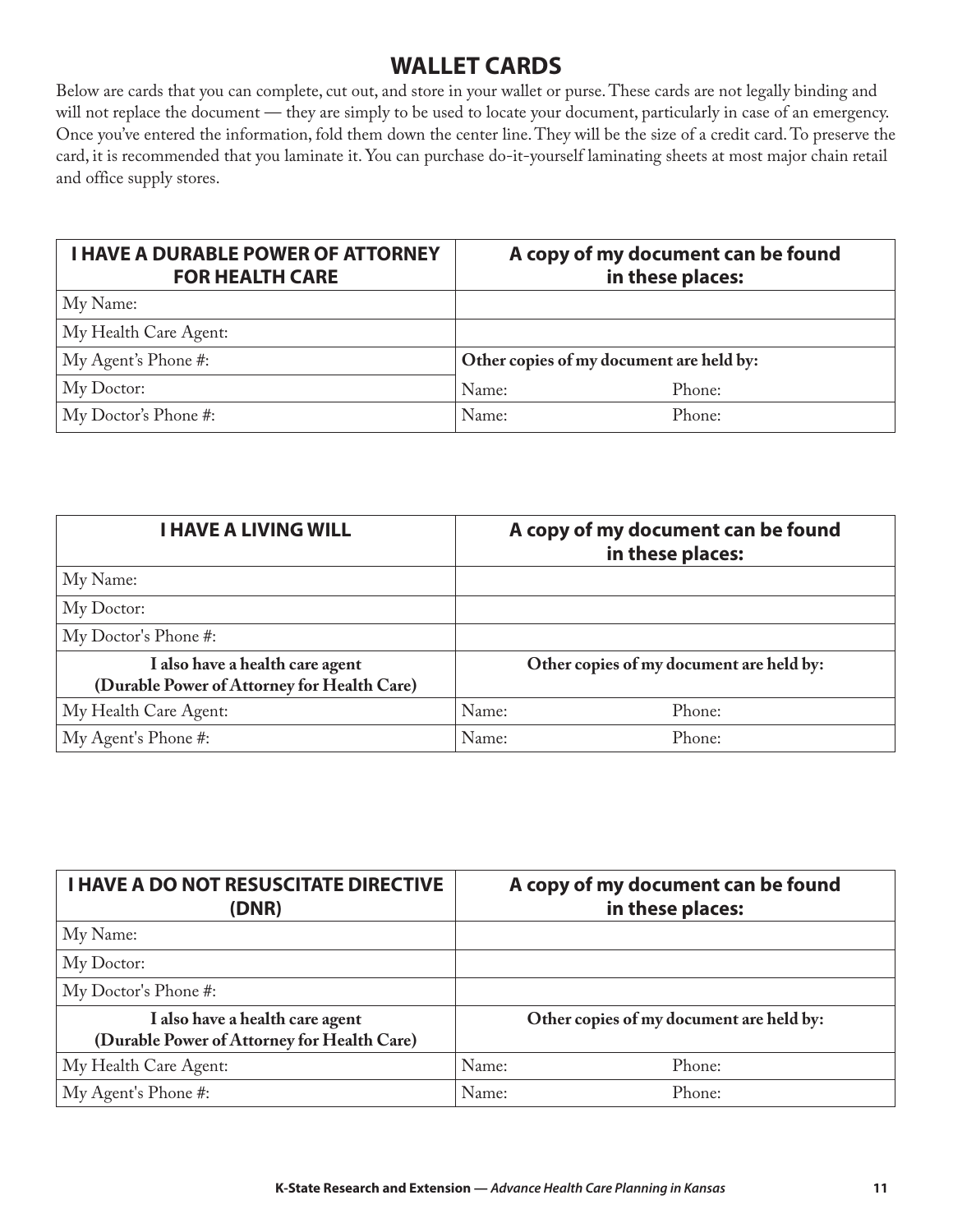### **WALLET CARDS**

Below are cards that you can complete, cut out, and store in your wallet or purse. These cards are not legally binding and will not replace the document — they are simply to be used to locate your document, particularly in case of an emergency. Once you've entered the information, fold them down the center line. They will be the size of a credit card. To preserve the card, it is recommended that you laminate it. You can purchase do-it-yourself laminating sheets at most major chain retail and office supply stores.

| <b>I HAVE A DURABLE POWER OF ATTORNEY</b><br><b>FOR HEALTH CARE</b> | A copy of my document can be found<br>in these places: |        |
|---------------------------------------------------------------------|--------------------------------------------------------|--------|
| My Name:                                                            |                                                        |        |
| My Health Care Agent:                                               |                                                        |        |
| My Agent's Phone #:                                                 | Other copies of my document are held by:               |        |
| My Doctor:                                                          | Name:                                                  | Phone: |
| My Doctor's Phone #:                                                | Name:                                                  | Phone: |

| <b>I HAVE A LIVING WILL</b>                                                    | A copy of my document can be found<br>in these places: |  |  |
|--------------------------------------------------------------------------------|--------------------------------------------------------|--|--|
| My Name:                                                                       |                                                        |  |  |
| My Doctor:                                                                     |                                                        |  |  |
| My Doctor's Phone #:                                                           |                                                        |  |  |
| I also have a health care agent<br>(Durable Power of Attorney for Health Care) | Other copies of my document are held by:               |  |  |
| My Health Care Agent:                                                          | Name:<br>Phone:                                        |  |  |
| My Agent's Phone #:                                                            | Name:<br>Phone:                                        |  |  |

| <b>I HAVE A DO NOT RESUSCITATE DIRECTIVE</b><br>(DNR)                          | A copy of my document can be found<br>in these places: |
|--------------------------------------------------------------------------------|--------------------------------------------------------|
| My Name:                                                                       |                                                        |
| My Doctor:                                                                     |                                                        |
| My Doctor's Phone #:                                                           |                                                        |
| I also have a health care agent<br>(Durable Power of Attorney for Health Care) | Other copies of my document are held by:               |
| My Health Care Agent:                                                          | Name:<br>Phone:                                        |
| My Agent's Phone #:                                                            | Name:<br>Phone:                                        |